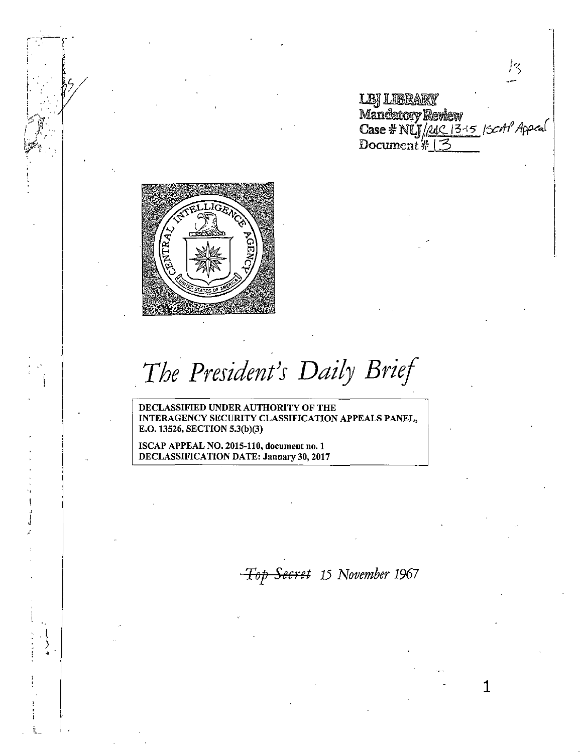**LBI LIBRARY** Mandatory Review<br>Case # NLJ/ALC 13-15 |ScAl Appeal<br>Document # 13

13,

1



.*The President}s Daily Brief* 

DECLASSIFIED UNDER AUTHORITY OF THE INTERAGENCY SECURITY CLASSIFICATION APPEALS PANEL, E.O. 13526, SECTION 5.3(b)(3)

ISCAP APPEAL NO. 2015-110, document no. 1 DECLASSIFICATION DATE: January 30, 2017

*i*  j<br>1

l,  $\Box$  i  $\prime$ 

*Ti7f1 Secret 15 November 1967*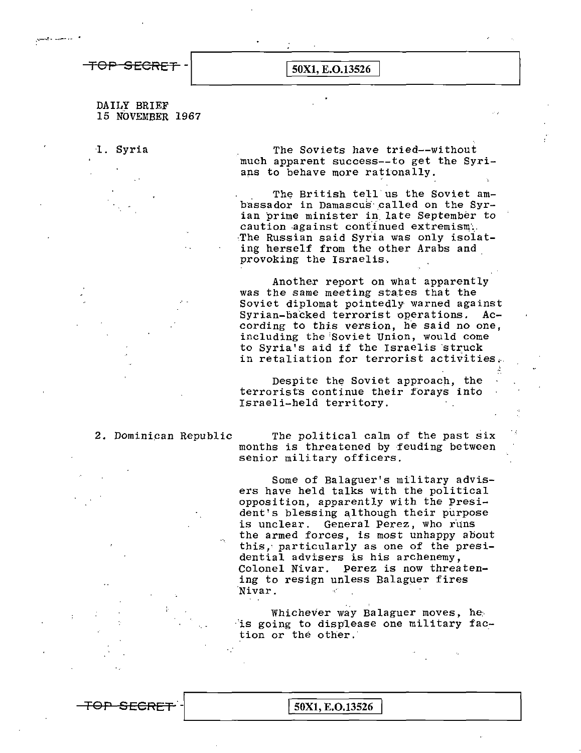TOP SECRET -  $\boxed{50X1, E.O.13526}$ 

DAILY BRIEF 15 NOVEMBER 1967

l. Syria The Soviets have tried--without much apparent success--to get the Syrians to behave more rationally.

> The British tell us the Soviet ambassador in Damascus called on the Syrian prime minister in. late September to caution against continued extremism. The Russian said Syria was only isolating herself from the other Arabs and provoking the Israelis..

Another report on what apparently was the same meeting states that the Soviet diplomat pointedly warned against Syrian-backed terrorist operations. According to this version, he said no one, including the'Soviet Union, would come to Syria's aid if the Israelis struck in retaliation for terrorist activities,..

Despite the Soviet approach, the terrorists continue their forays into Israeli-held territory.

2. Dominican Republic The political calm of the past six months is threatened by feuding between senior military officers.

> Some of Balaguer's military advisers have held talks with the political opposition, apparently with the President's blessing although their purpose is unclear. General Perez, who runs the armed forces, is most unhappy about this,· particularly as one of the presidential advisers is his archenemy, Colonel Nivar. Perez is now threatening to resign unless Balaguer fires ·Nivar.

Whichever way Balaguer moves, he ·'is going to displease one military faction or the other.

TOP SECRET -  $\boxed{50X1, E.O.13526}$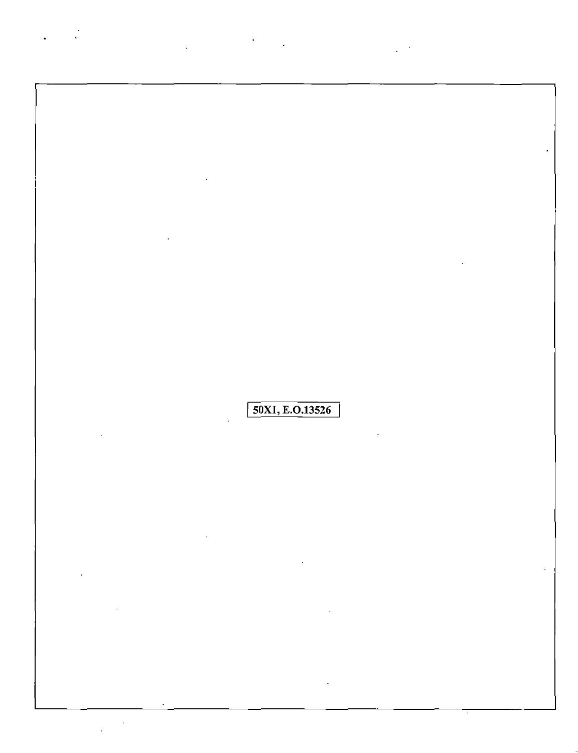50X1, E.O.13526

 $\bar{1}$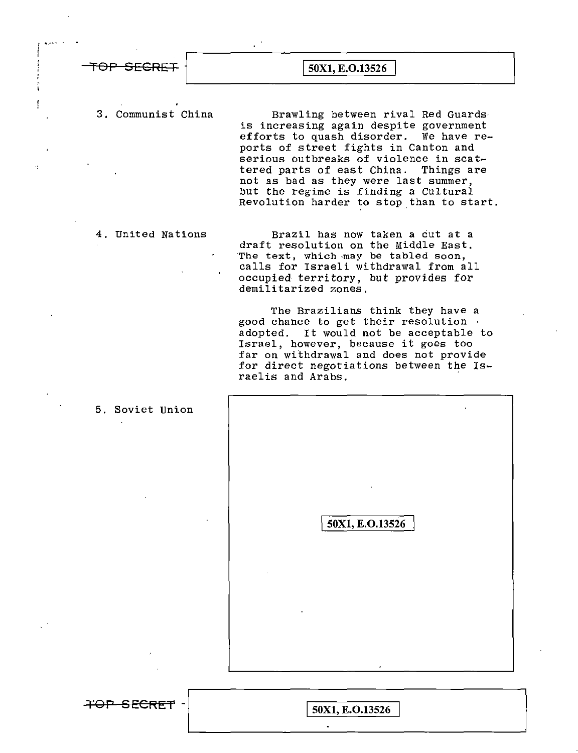| TOP SECRET | 50X1, E.O.13526 |  |
|------------|-----------------|--|

f

3. Communist China Brawling between rival Red Guards is increasing again despite government efforts to quash disorder. We have reports of street fights in Canton and serious outbreaks of violence in scattered parts of east China. Things are not as bad as they were last summer, but the regime is finding a Cultural Revolution harder to stop than to start.

4. United Nations Brazil has now taken a cut at a draft resolution on the Middle East. The text, which -may be tabled soon, calls for Israeli withdrawal from all occupied territory, but provides for demilitarized zones.

> The Brazilians think they have a good chance to get their resolution adopted. It would not be acceptable to Israel, however, because it goes too far on withdrawal and does not provide for direct negotiations between the Israelis and Arabs.

| 50X1, E.O.13526 |  |
|-----------------|--|
|                 |  |
|                 |  |

5. Soviet Union

**TOP SECRET -**<br> $\boxed{50X1, E.0.13526}$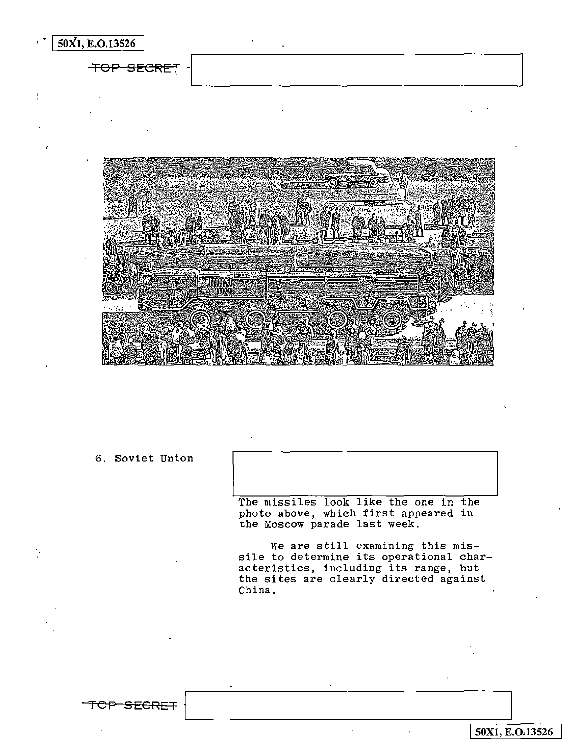$\sqrt{50X1, E.0.13526}$ **TOP SECRET** 330 mm

6, Soviet Union

'fOF" **SECRET** 

The missiles look like the one in the photo above, which first appeared in the Moscow parade last week.

We are still examining this missile to determine its operational charsite to descriming its operational emails the sites are clearly directed against China.

I**50Xl, E.0.13526**